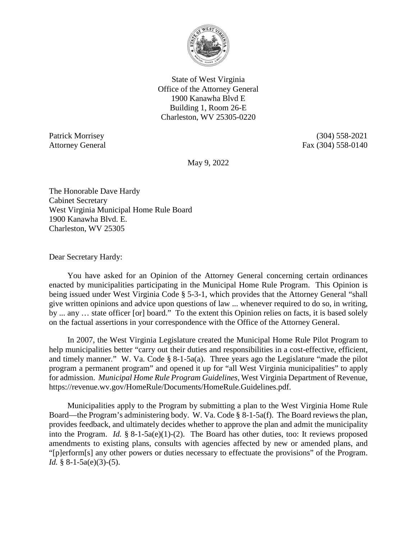

State of West Virginia Office of the Attorney General 1900 Kanawha Blvd E Building 1, Room 26-E Charleston, WV 25305-0220

Patrick Morrisey (304) 558-2021 Attorney General Fax (304) 558-0140

May 9, 2022

The Honorable Dave Hardy Cabinet Secretary West Virginia Municipal Home Rule Board 1900 Kanawha Blvd. E. Charleston, WV 25305

Dear Secretary Hardy:

You have asked for an Opinion of the Attorney General concerning certain ordinances enacted by municipalities participating in the Municipal Home Rule Program. This Opinion is being issued under West Virginia Code § 5-3-1, which provides that the Attorney General "shall give written opinions and advice upon questions of law ... whenever required to do so, in writing, by ... any … state officer [or] board." To the extent this Opinion relies on facts, it is based solely on the factual assertions in your correspondence with the Office of the Attorney General.

In 2007, the West Virginia Legislature created the Municipal Home Rule Pilot Program to help municipalities better "carry out their duties and responsibilities in a cost-effective, efficient, and timely manner." W. Va. Code § 8-1-5a(a). Three years ago the Legislature "made the pilot program a permanent program" and opened it up for "all West Virginia municipalities" to apply for admission. *Municipal Home Rule Program Guidelines*, West Virginia Department of Revenue, https://revenue.wv.gov/HomeRule/Documents/HomeRule.Guidelines.pdf.

Municipalities apply to the Program by submitting a plan to the West Virginia Home Rule Board—the Program's administering body. W. Va. Code § 8-1-5a(f). The Board reviews the plan, provides feedback, and ultimately decides whether to approve the plan and admit the municipality into the Program. *Id.* § 8-1-5a(e)(1)-(2). The Board has other duties, too: It reviews proposed amendments to existing plans, consults with agencies affected by new or amended plans, and "[p]erform[s] any other powers or duties necessary to effectuate the provisions" of the Program. *Id.* § 8-1-5a(e)(3)-(5).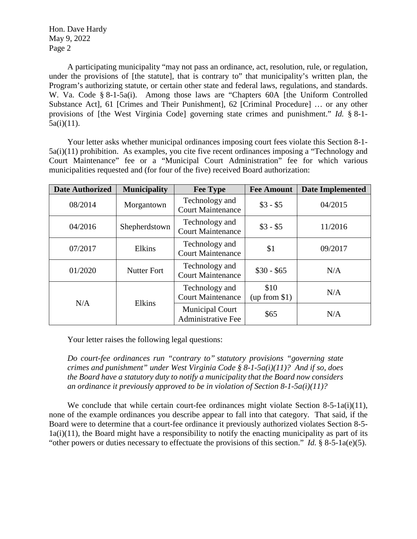A participating municipality "may not pass an ordinance, act, resolution, rule, or regulation, under the provisions of [the statute], that is contrary to" that municipality's written plan, the Program's authorizing statute, or certain other state and federal laws, regulations, and standards. W. Va. Code § 8-1-5a(i). Among those laws are "Chapters 60A [the Uniform Controlled Substance Act], 61 [Crimes and Their Punishment], 62 [Criminal Procedure] … or any other provisions of [the West Virginia Code] governing state crimes and punishment." *Id.* § 8-1-  $5a(i)(11)$ .

Your letter asks whether municipal ordinances imposing court fees violate this Section 8-1- 5a(i)(11) prohibition. As examples, you cite five recent ordinances imposing a "Technology and Court Maintenance" fee or a "Municipal Court Administration" fee for which various municipalities requested and (for four of the five) received Board authorization:

| <b>Date Authorized</b> | <b>Municipality</b> | <b>Fee Type</b>                                     | <b>Fee Amount</b>     | <b>Date Implemented</b> |
|------------------------|---------------------|-----------------------------------------------------|-----------------------|-------------------------|
| 08/2014                | Morgantown          | Technology and<br><b>Court Maintenance</b>          | $$3 - $5$             | 04/2015                 |
| 04/2016                | Shepherdstown       | Technology and<br><b>Court Maintenance</b>          | $$3 - $5$             | 11/2016                 |
| 07/2017                | Elkins              | Technology and<br><b>Court Maintenance</b>          | \$1                   | 09/2017                 |
| 01/2020                | <b>Nutter Fort</b>  | Technology and<br><b>Court Maintenance</b>          | $$30 - $65$           | N/A                     |
| N/A                    | Elkins              | Technology and<br><b>Court Maintenance</b>          | \$10<br>(up from \$1) | N/A                     |
|                        |                     | <b>Municipal Court</b><br><b>Administrative Fee</b> | \$65                  | N/A                     |

Your letter raises the following legal questions:

*Do court-fee ordinances run "contrary to" statutory provisions "governing state crimes and punishment" under West Virginia Code § 8-1-5a(i)(11)? And if so, does the Board have a statutory duty to notify a municipality that the Board now considers an ordinance it previously approved to be in violation of Section 8-1-5a(i)(11)?* 

We conclude that while certain court-fee ordinances might violate Section 8-5-1a(i)(11), none of the example ordinances you describe appear to fall into that category. That said, if the Board were to determine that a court-fee ordinance it previously authorized violates Section 8-5- 1a(i)(11), the Board might have a responsibility to notify the enacting municipality as part of its "other powers or duties necessary to effectuate the provisions of this section." *Id.* § 8-5-1a(e)(5).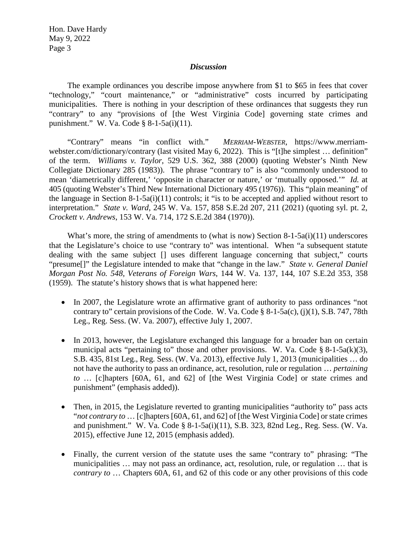## *Discussion*

The example ordinances you describe impose anywhere from \$1 to \$65 in fees that cover "technology," "court maintenance," or "administrative" costs incurred by participating municipalities. There is nothing in your description of these ordinances that suggests they run "contrary" to any "provisions of [the West Virginia Code] governing state crimes and punishment." W. Va. Code § 8-1-5a(i)(11).

"Contrary" means "in conflict with." *MERRIAM-WEBSTER*, https://www.merriamwebster.com/dictionary/contrary (last visited May 6, 2022). This is "[t]he simplest … definition" of the term. *Williams v. Taylor*, 529 U.S. 362, 388 (2000) (quoting Webster's Ninth New Collegiate Dictionary 285 (1983)). The phrase "contrary to" is also "commonly understood to mean 'diametrically different,' 'opposite in character or nature,' or 'mutually opposed.'" *Id.* at 405 (quoting Webster's Third New International Dictionary 495 (1976)). This "plain meaning" of the language in Section 8-1-5a(i)(11) controls; it "is to be accepted and applied without resort to interpretation." *State v. Ward*, 245 W. Va. 157, 858 S.E.2d 207, 211 (2021) (quoting syl. pt. 2, *Crockett v. Andrews*, 153 W. Va. 714, 172 S.E.2d 384 (1970)).

What's more, the string of amendments to (what is now) Section 8-1-5a( $i$ )(11) underscores that the Legislature's choice to use "contrary to" was intentional. When "a subsequent statute dealing with the same subject [] uses different language concerning that subject," courts "presume[]" the Legislature intended to make that "change in the law." *State v. General Daniel Morgan Post No. 548, Veterans of Foreign Wars*, 144 W. Va. 137, 144, 107 S.E.2d 353, 358 (1959). The statute's history shows that is what happened here:

- In 2007, the Legislature wrote an affirmative grant of authority to pass ordinances "not contrary to" certain provisions of the Code. W. Va. Code  $\S$  8-1-5a(c), (j)(1), S.B. 747, 78th Leg., Reg. Sess. (W. Va. 2007), effective July 1, 2007.
- In 2013, however, the Legislature exchanged this language for a broader ban on certain municipal acts "pertaining to" those and other provisions. W. Va. Code  $\S 8$ -1-5a(k)(3), S.B. 435, 81st Leg., Reg. Sess. (W. Va. 2013), effective July 1, 2013 (municipalities … do not have the authority to pass an ordinance, act, resolution, rule or regulation … *pertaining to* … [c]hapters [60A, 61, and 62] of [the West Virginia Code] or state crimes and punishment" (emphasis added)).
- Then, in 2015, the Legislature reverted to granting municipalities "authority to" pass acts "*not contrary to* … [c]hapters [60A, 61, and 62] of [the West Virginia Code] or state crimes and punishment." W. Va. Code § 8-1-5a(i)(11), S.B. 323, 82nd Leg., Reg. Sess. (W. Va. 2015), effective June 12, 2015 (emphasis added).
- Finally, the current version of the statute uses the same "contrary to" phrasing: "The municipalities … may not pass an ordinance, act, resolution, rule, or regulation … that is *contrary to* … Chapters 60A, 61, and 62 of this code or any other provisions of this code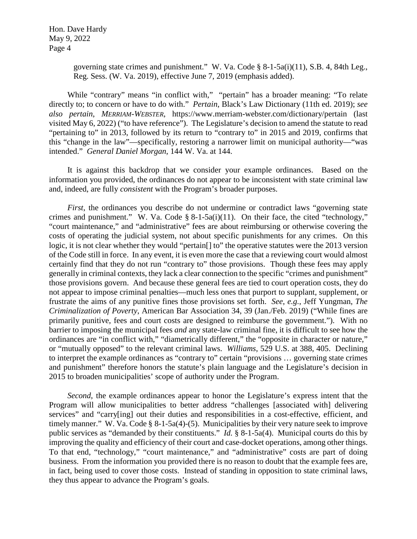> governing state crimes and punishment." W. Va. Code § 8-1-5a(i)(11), S.B. 4, 84th Leg., Reg. Sess. (W. Va. 2019), effective June 7, 2019 (emphasis added).

While "contrary" means "in conflict with," "pertain" has a broader meaning: "To relate directly to; to concern or have to do with." *Pertain*, Black's Law Dictionary (11th ed. 2019); *see also pertain*, *MERRIAM-WEBSTER*, https://www.merriam-webster.com/dictionary/pertain (last visited May 6, 2022) ("to have reference"). The Legislature's decision to amend the statute to read "pertaining to" in 2013, followed by its return to "contrary to" in 2015 and 2019, confirms that this "change in the law"—specifically, restoring a narrower limit on municipal authority—"was intended." *General Daniel Morgan*, 144 W. Va. at 144.

It is against this backdrop that we consider your example ordinances. Based on the information you provided, the ordinances do not appear to be inconsistent with state criminal law and, indeed, are fully *consistent* with the Program's broader purposes.

*First*, the ordinances you describe do not undermine or contradict laws "governing state" crimes and punishment." W. Va. Code § 8-1-5a(i)(11). On their face, the cited "technology," "court maintenance," and "administrative" fees are about reimbursing or otherwise covering the costs of operating the judicial system, not about specific punishments for any crimes. On this logic, it is not clear whether they would "pertain[] to" the operative statutes were the 2013 version of the Code still in force. In any event, it is even more the case that a reviewing court would almost certainly find that they do not run "contrary to" those provisions. Though these fees may apply generally in criminal contexts, they lack a clear connection to the specific "crimes and punishment" those provisions govern. And because these general fees are tied to court operation costs, they do not appear to impose criminal penalties—much less ones that purport to supplant, supplement, or frustrate the aims of any punitive fines those provisions set forth. *See*, *e.g.*, Jeff Yungman, *The Criminalization of Poverty*, American Bar Association 34, 39 (Jan./Feb. 2019) ("While fines are primarily punitive, fees and court costs are designed to reimburse the government."). With no barrier to imposing the municipal fees *and* any state-law criminal fine, it is difficult to see how the ordinances are "in conflict with," "diametrically different," the "opposite in character or nature," or "mutually opposed" to the relevant criminal laws. *Williams*, 529 U.S. at 388, 405. Declining to interpret the example ordinances as "contrary to" certain "provisions … governing state crimes and punishment" therefore honors the statute's plain language and the Legislature's decision in 2015 to broaden municipalities' scope of authority under the Program.

*Second*, the example ordinances appear to honor the Legislature's express intent that the Program will allow municipalities to better address "challenges [associated with] delivering services" and "carry[ing] out their duties and responsibilities in a cost-effective, efficient, and timely manner." W. Va. Code § 8-1-5a(4)-(5). Municipalities by their very nature seek to improve public services as "demanded by their constituents." *Id.* § 8-1-5a(4). Municipal courts do this by improving the quality and efficiency of their court and case-docket operations, among other things. To that end, "technology," "court maintenance," and "administrative" costs are part of doing business. From the information you provided there is no reason to doubt that the example fees are, in fact, being used to cover those costs. Instead of standing in opposition to state criminal laws, they thus appear to advance the Program's goals.